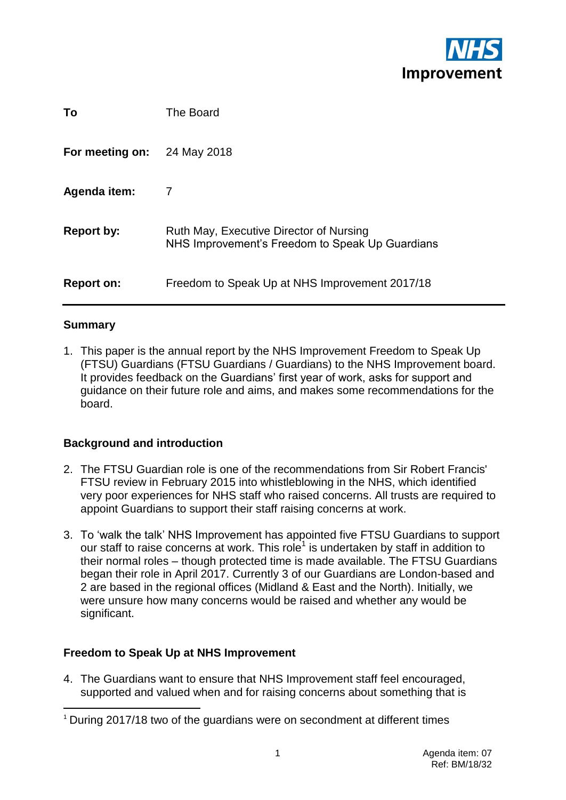

| To              | The Board                                                                                  |
|-----------------|--------------------------------------------------------------------------------------------|
| For meeting on: | 24 May 2018                                                                                |
| Agenda item:    | 7                                                                                          |
| Report by:      | Ruth May, Executive Director of Nursing<br>NHS Improvement's Freedom to Speak Up Guardians |
| Report on:      | Freedom to Speak Up at NHS Improvement 2017/18                                             |

#### **Summary**

1. This paper is the annual report by the NHS Improvement Freedom to Speak Up (FTSU) Guardians (FTSU Guardians / Guardians) to the NHS Improvement board. It provides feedback on the Guardians" first year of work, asks for support and guidance on their future role and aims, and makes some recommendations for the board.

#### **Background and introduction**

- 2. The FTSU Guardian role is one of the recommendations from Sir Robert Francis' FTSU review in February 2015 into whistleblowing in the NHS, which identified very poor experiences for NHS staff who raised concerns. All trusts are required to appoint Guardians to support their staff raising concerns at work.
- 3. To "walk the talk" NHS Improvement has appointed five FTSU Guardians to support our staff to raise concerns at work. This role<sup>1</sup> is undertaken by staff in addition to their normal roles – though protected time is made available. The FTSU Guardians began their role in April 2017. Currently 3 of our Guardians are London-based and 2 are based in the regional offices (Midland & East and the North). Initially, we were unsure how many concerns would be raised and whether any would be significant.

## **Freedom to Speak Up at NHS Improvement**

4. The Guardians want to ensure that NHS Improvement staff feel encouraged, supported and valued when and for raising concerns about something that is

 $\overline{\phantom{a}}$ <sup>1</sup> During 2017/18 two of the guardians were on secondment at different times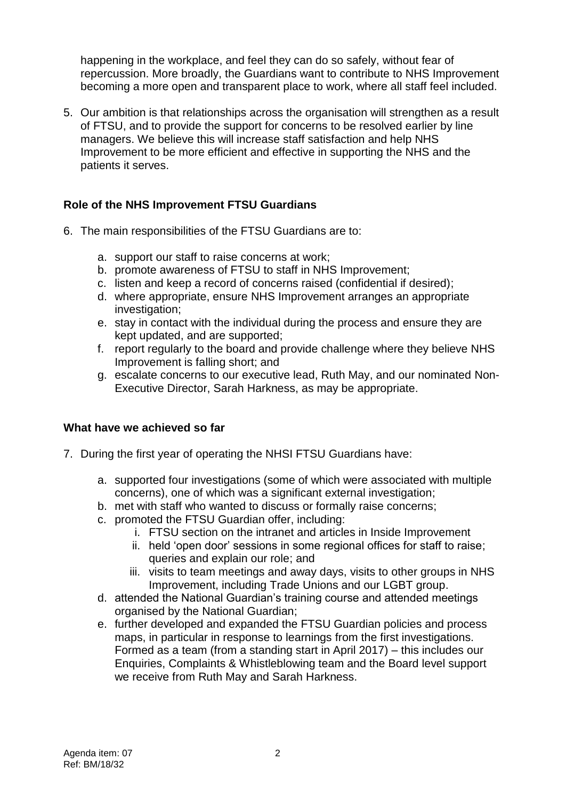happening in the workplace, and feel they can do so safely, without fear of repercussion. More broadly, the Guardians want to contribute to NHS Improvement becoming a more open and transparent place to work, where all staff feel included.

5. Our ambition is that relationships across the organisation will strengthen as a result of FTSU, and to provide the support for concerns to be resolved earlier by line managers. We believe this will increase staff satisfaction and help NHS Improvement to be more efficient and effective in supporting the NHS and the patients it serves.

## **Role of the NHS Improvement FTSU Guardians**

- 6. The main responsibilities of the FTSU Guardians are to:
	- a. support our staff to raise concerns at work;
	- b. promote awareness of FTSU to staff in NHS Improvement;
	- c. listen and keep a record of concerns raised (confidential if desired);
	- d. where appropriate, ensure NHS Improvement arranges an appropriate investigation;
	- e. stay in contact with the individual during the process and ensure they are kept updated, and are supported;
	- f. report regularly to the board and provide challenge where they believe NHS Improvement is falling short; and
	- g. escalate concerns to our executive lead, Ruth May, and our nominated Non-Executive Director, Sarah Harkness, as may be appropriate.

#### **What have we achieved so far**

- 7. During the first year of operating the NHSI FTSU Guardians have:
	- a. supported four investigations (some of which were associated with multiple concerns), one of which was a significant external investigation;
	- b. met with staff who wanted to discuss or formally raise concerns;
	- c. promoted the FTSU Guardian offer, including:
		- i. FTSU section on the intranet and articles in Inside Improvement
		- ii. held "open door" sessions in some regional offices for staff to raise; queries and explain our role; and
		- iii. visits to team meetings and away days, visits to other groups in NHS Improvement, including Trade Unions and our LGBT group.
	- d. attended the National Guardian"s training course and attended meetings organised by the National Guardian;
	- e. further developed and expanded the FTSU Guardian policies and process maps, in particular in response to learnings from the first investigations. Formed as a team (from a standing start in April 2017) – this includes our Enquiries, Complaints & Whistleblowing team and the Board level support we receive from Ruth May and Sarah Harkness.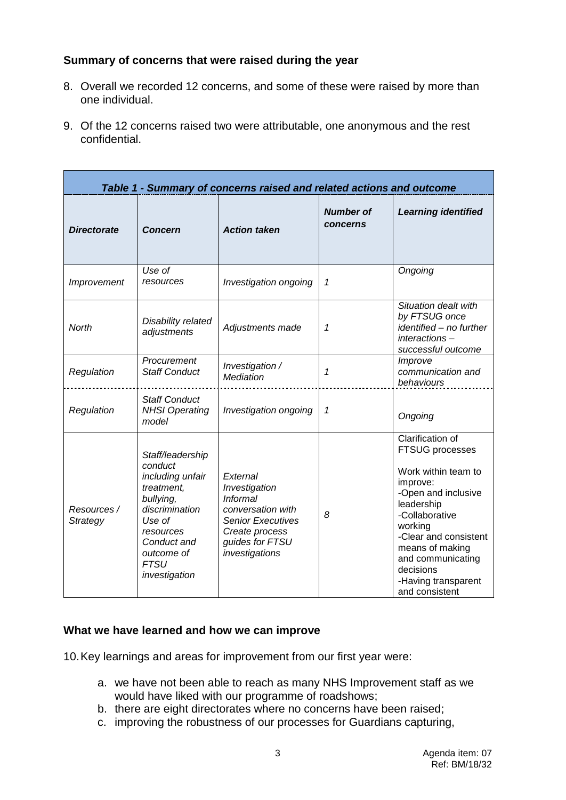# **Summary of concerns that were raised during the year**

- 8. Overall we recorded 12 concerns, and some of these were raised by more than one individual.
- 9. Of the 12 concerns raised two were attributable, one anonymous and the rest confidential.

| Table 1 - Summary of concerns raised and related actions and outcome |                                                                                                                                                                                  |                                                                                                                                                      |                              |                                                                                                                                                                                                                                                                        |
|----------------------------------------------------------------------|----------------------------------------------------------------------------------------------------------------------------------------------------------------------------------|------------------------------------------------------------------------------------------------------------------------------------------------------|------------------------------|------------------------------------------------------------------------------------------------------------------------------------------------------------------------------------------------------------------------------------------------------------------------|
| <b>Directorate</b>                                                   | <b>Concern</b>                                                                                                                                                                   | <b>Action taken</b>                                                                                                                                  | <b>Number of</b><br>concerns | <b>Learning identified</b>                                                                                                                                                                                                                                             |
| Improvement                                                          | Use of<br>resources                                                                                                                                                              | Investigation ongoing                                                                                                                                | 1                            | Ongoing                                                                                                                                                                                                                                                                |
| <b>North</b>                                                         | Disability related<br>adjustments                                                                                                                                                | Adjustments made                                                                                                                                     | 1                            | Situation dealt with<br>by FTSUG once<br>identified - no further<br>interactions-<br>successful outcome                                                                                                                                                                |
| Regulation                                                           | Procurement<br><b>Staff Conduct</b>                                                                                                                                              | Investigation /<br><b>Mediation</b>                                                                                                                  | 1                            | Improve<br>communication and<br>behaviours                                                                                                                                                                                                                             |
| Regulation                                                           | <b>Staff Conduct</b><br><b>NHSI Operating</b><br>model                                                                                                                           | Investigation ongoing                                                                                                                                | 1                            | Ongoing                                                                                                                                                                                                                                                                |
| Resources /<br>Strategy                                              | Staff/leadership<br>conduct<br>including unfair<br>treatment,<br>bullying,<br>discrimination<br>Use of<br>resources<br>Conduct and<br>outcome of<br><b>FTSU</b><br>investigation | External<br>Investigation<br><b>Informal</b><br>conversation with<br><b>Senior Executives</b><br>Create process<br>guides for FTSU<br>investigations | 8                            | <b>Clarification of</b><br>FTSUG processes<br>Work within team to<br>improve:<br>-Open and inclusive<br>leadership<br>-Collaborative<br>working<br>-Clear and consistent<br>means of making<br>and communicating<br>decisions<br>-Having transparent<br>and consistent |

## **What we have learned and how we can improve**

10.Key learnings and areas for improvement from our first year were:

- a. we have not been able to reach as many NHS Improvement staff as we would have liked with our programme of roadshows;
- b. there are eight directorates where no concerns have been raised;
- c. improving the robustness of our processes for Guardians capturing,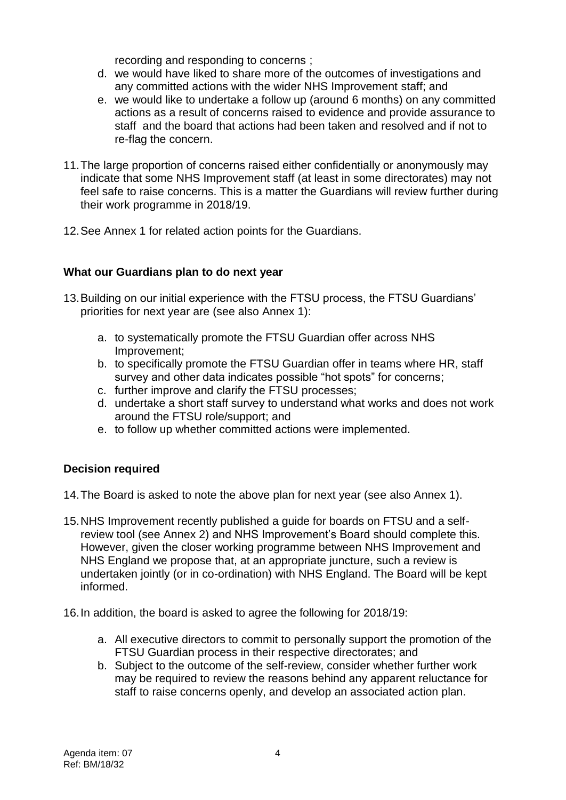recording and responding to concerns ;

- d. we would have liked to share more of the outcomes of investigations and any committed actions with the wider NHS Improvement staff; and
- e. we would like to undertake a follow up (around 6 months) on any committed actions as a result of concerns raised to evidence and provide assurance to staff and the board that actions had been taken and resolved and if not to re-flag the concern.
- 11.The large proportion of concerns raised either confidentially or anonymously may indicate that some NHS Improvement staff (at least in some directorates) may not feel safe to raise concerns. This is a matter the Guardians will review further during their work programme in 2018/19.
- 12.See Annex 1 for related action points for the Guardians.

# **What our Guardians plan to do next year**

- 13.Building on our initial experience with the FTSU process, the FTSU Guardians" priorities for next year are (see also Annex 1):
	- a. to systematically promote the FTSU Guardian offer across NHS Improvement;
	- b. to specifically promote the FTSU Guardian offer in teams where HR, staff survey and other data indicates possible "hot spots" for concerns;
	- c. further improve and clarify the FTSU processes;
	- d. undertake a short staff survey to understand what works and does not work around the FTSU role/support; and
	- e. to follow up whether committed actions were implemented.

# **Decision required**

14.The Board is asked to note the above plan for next year (see also Annex 1).

- 15.NHS Improvement recently published a guide for boards on FTSU and a selfreview tool (see Annex 2) and NHS Improvement"s Board should complete this. However, given the closer working programme between NHS Improvement and NHS England we propose that, at an appropriate juncture, such a review is undertaken jointly (or in co-ordination) with NHS England. The Board will be kept informed.
- 16.In addition, the board is asked to agree the following for 2018/19:
	- a. All executive directors to commit to personally support the promotion of the FTSU Guardian process in their respective directorates; and
	- b. Subject to the outcome of the self-review, consider whether further work may be required to review the reasons behind any apparent reluctance for staff to raise concerns openly, and develop an associated action plan.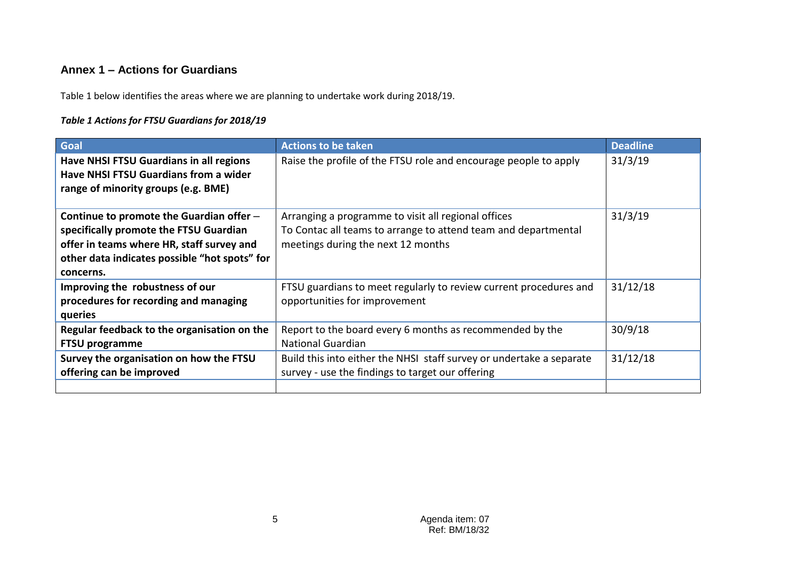# **Annex 1 – Actions for Guardians**

Table 1 below identifies the areas where we are planning to undertake work during 2018/19.

#### *Table 1 Actions for FTSU Guardians for 2018/19*

| Goal                                                                                                                                                                                          | <b>Actions to be taken</b>                                                                                                                                  | <b>Deadline</b> |
|-----------------------------------------------------------------------------------------------------------------------------------------------------------------------------------------------|-------------------------------------------------------------------------------------------------------------------------------------------------------------|-----------------|
| Have NHSI FTSU Guardians in all regions<br><b>Have NHSI FTSU Guardians from a wider</b><br>range of minority groups (e.g. BME)                                                                | Raise the profile of the FTSU role and encourage people to apply                                                                                            | 31/3/19         |
| Continue to promote the Guardian offer -<br>specifically promote the FTSU Guardian<br>offer in teams where HR, staff survey and<br>other data indicates possible "hot spots" for<br>concerns. | Arranging a programme to visit all regional offices<br>To Contac all teams to arrange to attend team and departmental<br>meetings during the next 12 months | 31/3/19         |
| Improving the robustness of our<br>procedures for recording and managing<br>queries                                                                                                           | FTSU guardians to meet regularly to review current procedures and<br>opportunities for improvement                                                          | 31/12/18        |
| Regular feedback to the organisation on the<br><b>FTSU programme</b>                                                                                                                          | Report to the board every 6 months as recommended by the<br><b>National Guardian</b>                                                                        | 30/9/18         |
| Survey the organisation on how the FTSU<br>offering can be improved                                                                                                                           | Build this into either the NHSI staff survey or undertake a separate<br>survey - use the findings to target our offering                                    | 31/12/18        |
|                                                                                                                                                                                               |                                                                                                                                                             |                 |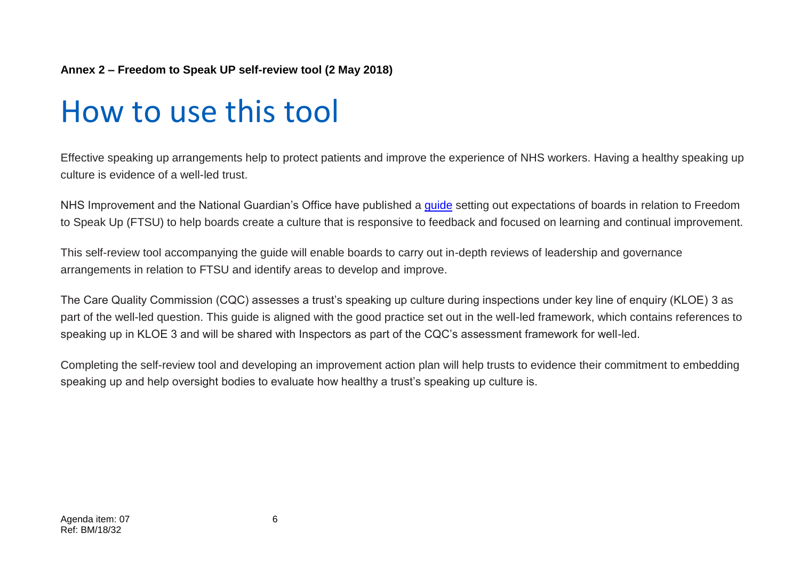## **Annex 2 – Freedom to Speak UP self-review tool (2 May 2018)**

# How to use this tool

Effective speaking up arrangements help to protect patients and improve the experience of NHS workers. Having a healthy speaking up culture is evidence of a well-led trust.

NHS Improvement and the National Guardian's Office have published a [guide](https://improvement.nhs.uk/resources/freedom-speak-guidance-nhs-trust-and-nhs-foundation-trust-boards) setting out expectations of boards in relation to Freedom to Speak Up (FTSU) to help boards create a culture that is responsive to feedback and focused on learning and continual improvement.

This self-review tool accompanying the guide will enable boards to carry out in-depth reviews of leadership and governance arrangements in relation to FTSU and identify areas to develop and improve.

The Care Quality Commission (CQC) assesses a trust"s speaking up culture during inspections under key line of enquiry (KLOE) 3 as part of the well-led question. This guide is aligned with the good practice set out in the well-led framework, which contains references to speaking up in KLOE 3 and will be shared with Inspectors as part of the CQC"s assessment framework for well-led.

Completing the self-review tool and developing an improvement action plan will help trusts to evidence their commitment to embedding speaking up and help oversight bodies to evaluate how healthy a trust's speaking up culture is.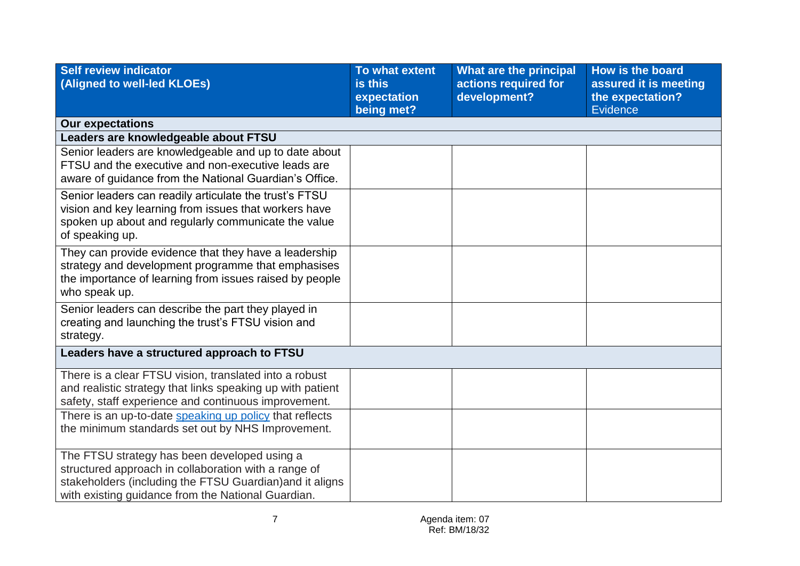| Self review indicator<br>(Aligned to well-led KLOEs)                                                                                                                                                                   | To what extent<br>is this<br>expectation<br>being met? | What are the principal<br>actions required for<br>development? | How is the board<br>assured it is meeting<br>the expectation?<br><b>Evidence</b> |
|------------------------------------------------------------------------------------------------------------------------------------------------------------------------------------------------------------------------|--------------------------------------------------------|----------------------------------------------------------------|----------------------------------------------------------------------------------|
| <b>Our expectations</b>                                                                                                                                                                                                |                                                        |                                                                |                                                                                  |
| Leaders are knowledgeable about FTSU                                                                                                                                                                                   |                                                        |                                                                |                                                                                  |
| Senior leaders are knowledgeable and up to date about<br>FTSU and the executive and non-executive leads are<br>aware of guidance from the National Guardian's Office.                                                  |                                                        |                                                                |                                                                                  |
| Senior leaders can readily articulate the trust's FTSU<br>vision and key learning from issues that workers have<br>spoken up about and regularly communicate the value<br>of speaking up.                              |                                                        |                                                                |                                                                                  |
| They can provide evidence that they have a leadership<br>strategy and development programme that emphasises<br>the importance of learning from issues raised by people<br>who speak up.                                |                                                        |                                                                |                                                                                  |
| Senior leaders can describe the part they played in<br>creating and launching the trust's FTSU vision and<br>strategy.                                                                                                 |                                                        |                                                                |                                                                                  |
| Leaders have a structured approach to FTSU                                                                                                                                                                             |                                                        |                                                                |                                                                                  |
| There is a clear FTSU vision, translated into a robust<br>and realistic strategy that links speaking up with patient<br>safety, staff experience and continuous improvement.                                           |                                                        |                                                                |                                                                                  |
| There is an up-to-date speaking up policy that reflects<br>the minimum standards set out by NHS Improvement.                                                                                                           |                                                        |                                                                |                                                                                  |
| The FTSU strategy has been developed using a<br>structured approach in collaboration with a range of<br>stakeholders (including the FTSU Guardian) and it aligns<br>with existing guidance from the National Guardian. |                                                        |                                                                |                                                                                  |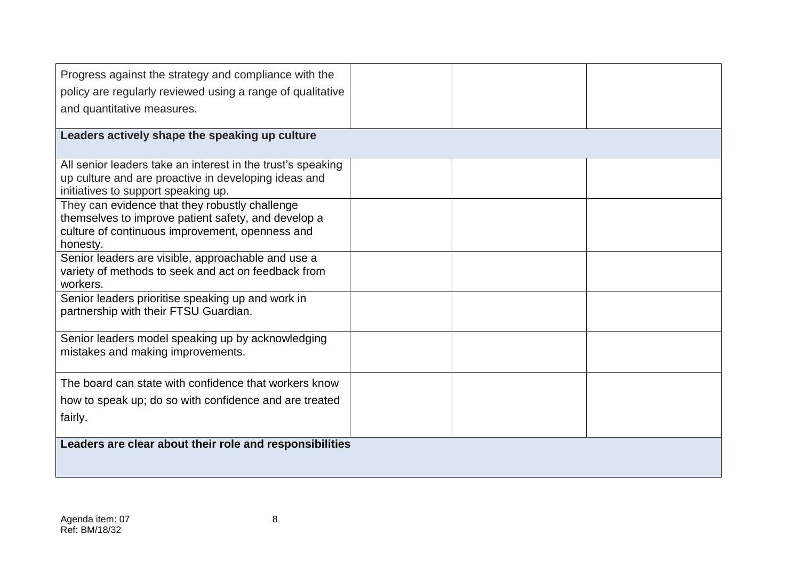| Progress against the strategy and compliance with the                                                 |  |  |
|-------------------------------------------------------------------------------------------------------|--|--|
| policy are regularly reviewed using a range of qualitative                                            |  |  |
| and quantitative measures.                                                                            |  |  |
|                                                                                                       |  |  |
| Leaders actively shape the speaking up culture                                                        |  |  |
|                                                                                                       |  |  |
| All senior leaders take an interest in the trust's speaking                                           |  |  |
| up culture and are proactive in developing ideas and                                                  |  |  |
| initiatives to support speaking up.                                                                   |  |  |
| They can evidence that they robustly challenge<br>themselves to improve patient safety, and develop a |  |  |
| culture of continuous improvement, openness and                                                       |  |  |
| honesty.                                                                                              |  |  |
| Senior leaders are visible, approachable and use a                                                    |  |  |
| variety of methods to seek and act on feedback from                                                   |  |  |
| workers.                                                                                              |  |  |
| Senior leaders prioritise speaking up and work in                                                     |  |  |
| partnership with their FTSU Guardian.                                                                 |  |  |
|                                                                                                       |  |  |
| Senior leaders model speaking up by acknowledging<br>mistakes and making improvements.                |  |  |
|                                                                                                       |  |  |
| The board can state with confidence that workers know                                                 |  |  |
|                                                                                                       |  |  |
| how to speak up; do so with confidence and are treated                                                |  |  |
| fairly.                                                                                               |  |  |
|                                                                                                       |  |  |
| Leaders are clear about their role and responsibilities                                               |  |  |
|                                                                                                       |  |  |
|                                                                                                       |  |  |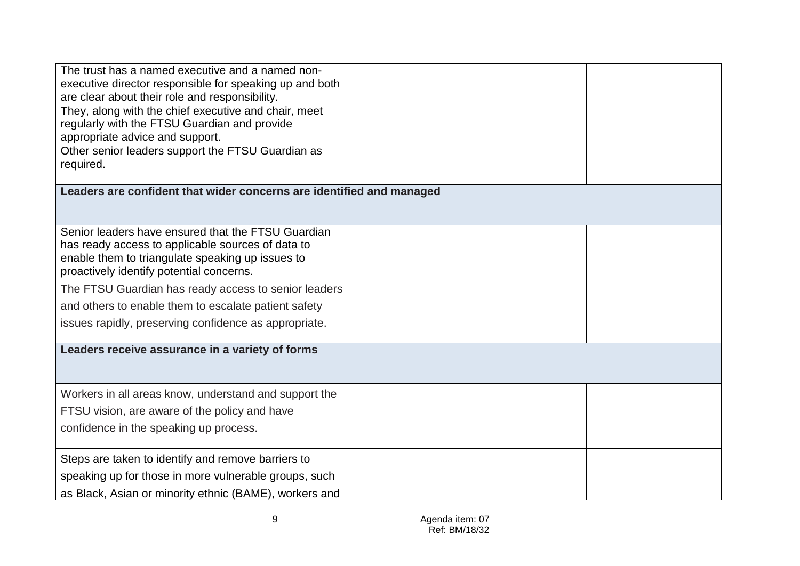| The trust has a named executive and a named non-                     |  |  |
|----------------------------------------------------------------------|--|--|
| executive director responsible for speaking up and both              |  |  |
| are clear about their role and responsibility.                       |  |  |
| They, along with the chief executive and chair, meet                 |  |  |
| regularly with the FTSU Guardian and provide                         |  |  |
| appropriate advice and support.                                      |  |  |
| Other senior leaders support the FTSU Guardian as                    |  |  |
| required.                                                            |  |  |
|                                                                      |  |  |
| Leaders are confident that wider concerns are identified and managed |  |  |
|                                                                      |  |  |
|                                                                      |  |  |
| Senior leaders have ensured that the FTSU Guardian                   |  |  |
| has ready access to applicable sources of data to                    |  |  |
| enable them to triangulate speaking up issues to                     |  |  |
| proactively identify potential concerns.                             |  |  |
| The FTSU Guardian has ready access to senior leaders                 |  |  |
| and others to enable them to escalate patient safety                 |  |  |
| issues rapidly, preserving confidence as appropriate.                |  |  |
|                                                                      |  |  |
| Leaders receive assurance in a variety of forms                      |  |  |
|                                                                      |  |  |
|                                                                      |  |  |
| Workers in all areas know, understand and support the                |  |  |
| FTSU vision, are aware of the policy and have                        |  |  |
| confidence in the speaking up process.                               |  |  |
|                                                                      |  |  |
| Steps are taken to identify and remove barriers to                   |  |  |
| speaking up for those in more vulnerable groups, such                |  |  |
| as Black, Asian or minority ethnic (BAME), workers and               |  |  |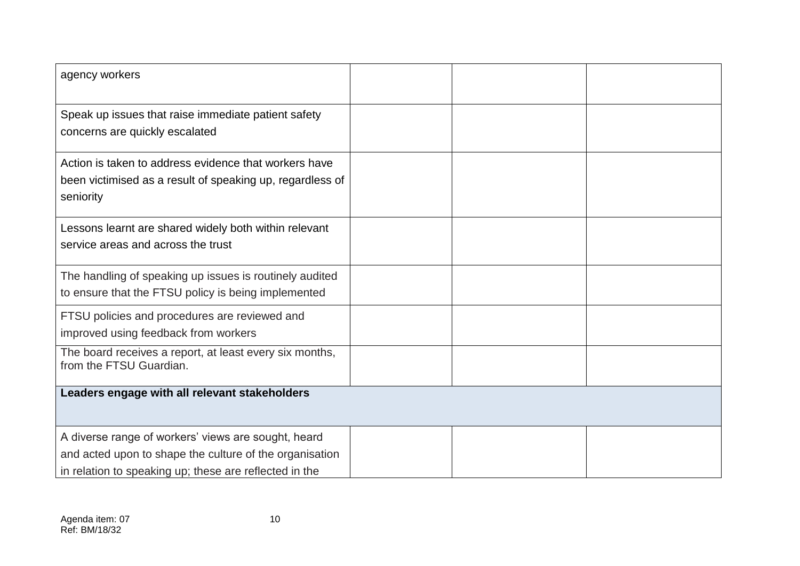| agency workers                                                                                                                                                           |  |  |
|--------------------------------------------------------------------------------------------------------------------------------------------------------------------------|--|--|
| Speak up issues that raise immediate patient safety<br>concerns are quickly escalated                                                                                    |  |  |
| Action is taken to address evidence that workers have<br>been victimised as a result of speaking up, regardless of<br>seniority                                          |  |  |
| Lessons learnt are shared widely both within relevant<br>service areas and across the trust                                                                              |  |  |
| The handling of speaking up issues is routinely audited<br>to ensure that the FTSU policy is being implemented                                                           |  |  |
| FTSU policies and procedures are reviewed and<br>improved using feedback from workers                                                                                    |  |  |
| The board receives a report, at least every six months,<br>from the FTSU Guardian.                                                                                       |  |  |
| Leaders engage with all relevant stakeholders                                                                                                                            |  |  |
| A diverse range of workers' views are sought, heard<br>and acted upon to shape the culture of the organisation<br>in relation to speaking up; these are reflected in the |  |  |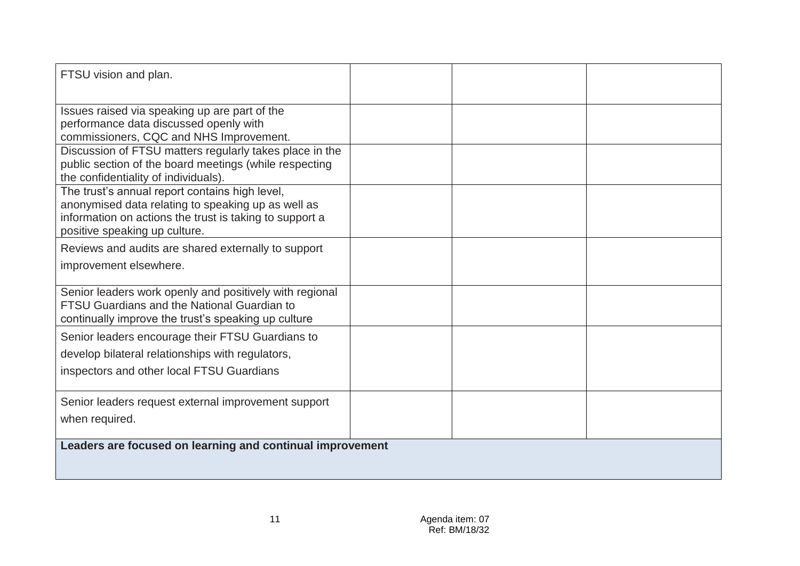| FTSU vision and plan.                                                                                                                                                                            |  |  |
|--------------------------------------------------------------------------------------------------------------------------------------------------------------------------------------------------|--|--|
| Issues raised via speaking up are part of the<br>performance data discussed openly with<br>commissioners, CQC and NHS Improvement.                                                               |  |  |
| Discussion of FTSU matters regularly takes place in the<br>public section of the board meetings (while respecting<br>the confidentiality of individuals).                                        |  |  |
| The trust's annual report contains high level,<br>anonymised data relating to speaking up as well as<br>information on actions the trust is taking to support a<br>positive speaking up culture. |  |  |
| Reviews and audits are shared externally to support                                                                                                                                              |  |  |
| improvement elsewhere.                                                                                                                                                                           |  |  |
| Senior leaders work openly and positively with regional<br><b>FTSU Guardians and the National Guardian to</b><br>continually improve the trust's speaking up culture                             |  |  |
| Senior leaders encourage their FTSU Guardians to                                                                                                                                                 |  |  |
| develop bilateral relationships with regulators,                                                                                                                                                 |  |  |
| inspectors and other local FTSU Guardians                                                                                                                                                        |  |  |
| Senior leaders request external improvement support                                                                                                                                              |  |  |
| when required.                                                                                                                                                                                   |  |  |
| Leaders are focused on learning and continual improvement                                                                                                                                        |  |  |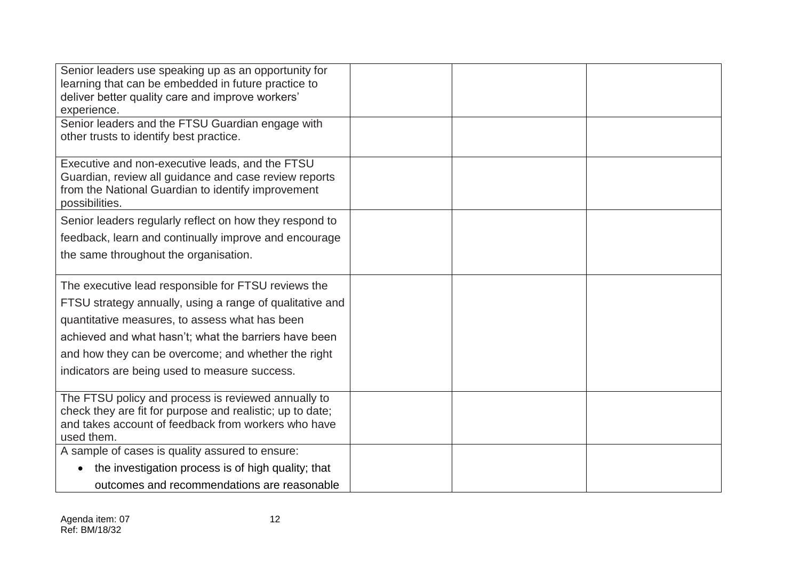| Senior leaders use speaking up as an opportunity for<br>learning that can be embedded in future practice to |  |  |
|-------------------------------------------------------------------------------------------------------------|--|--|
| deliver better quality care and improve workers'                                                            |  |  |
| experience.                                                                                                 |  |  |
| Senior leaders and the FTSU Guardian engage with                                                            |  |  |
| other trusts to identify best practice.                                                                     |  |  |
|                                                                                                             |  |  |
| Executive and non-executive leads, and the FTSU                                                             |  |  |
| Guardian, review all guidance and case review reports                                                       |  |  |
| from the National Guardian to identify improvement                                                          |  |  |
| possibilities.                                                                                              |  |  |
| Senior leaders regularly reflect on how they respond to                                                     |  |  |
| feedback, learn and continually improve and encourage                                                       |  |  |
| the same throughout the organisation.                                                                       |  |  |
|                                                                                                             |  |  |
| The executive lead responsible for FTSU reviews the                                                         |  |  |
| FTSU strategy annually, using a range of qualitative and                                                    |  |  |
| quantitative measures, to assess what has been                                                              |  |  |
| achieved and what hasn't; what the barriers have been                                                       |  |  |
| and how they can be overcome; and whether the right                                                         |  |  |
| indicators are being used to measure success.                                                               |  |  |
|                                                                                                             |  |  |
| The FTSU policy and process is reviewed annually to                                                         |  |  |
| check they are fit for purpose and realistic; up to date;                                                   |  |  |
| and takes account of feedback from workers who have                                                         |  |  |
| used them.                                                                                                  |  |  |
| A sample of cases is quality assured to ensure:                                                             |  |  |
| the investigation process is of high quality; that                                                          |  |  |
| outcomes and recommendations are reasonable                                                                 |  |  |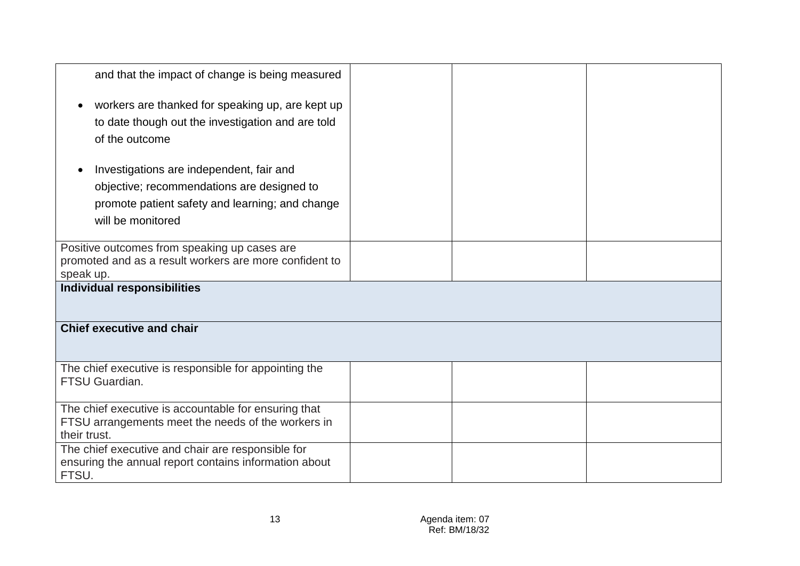| and that the impact of change is being measured                |  |  |
|----------------------------------------------------------------|--|--|
| workers are thanked for speaking up, are kept up               |  |  |
| to date though out the investigation and are told              |  |  |
| of the outcome                                                 |  |  |
| Investigations are independent, fair and                       |  |  |
| objective; recommendations are designed to                     |  |  |
| promote patient safety and learning; and change                |  |  |
| will be monitored                                              |  |  |
|                                                                |  |  |
| Positive outcomes from speaking up cases are                   |  |  |
| promoted and as a result workers are more confident to         |  |  |
| speak up.                                                      |  |  |
| <b>Individual responsibilities</b>                             |  |  |
| <b>Chief executive and chair</b>                               |  |  |
|                                                                |  |  |
| The chief executive is responsible for appointing the          |  |  |
| FTSU Guardian.                                                 |  |  |
|                                                                |  |  |
| The chief executive is accountable for ensuring that           |  |  |
| FTSU arrangements meet the needs of the workers in             |  |  |
| their trust.                                                   |  |  |
| The chief executive and chair are responsible for              |  |  |
| ensuring the annual report contains information about<br>FTSU. |  |  |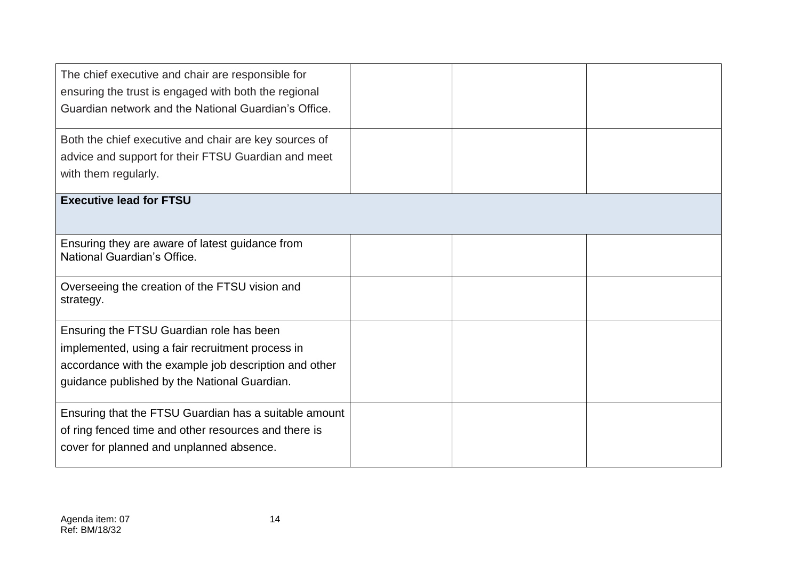| The chief executive and chair are responsible for<br>ensuring the trust is engaged with both the regional<br>Guardian network and the National Guardian's Office.                                     |  |  |
|-------------------------------------------------------------------------------------------------------------------------------------------------------------------------------------------------------|--|--|
| Both the chief executive and chair are key sources of<br>advice and support for their FTSU Guardian and meet<br>with them regularly.                                                                  |  |  |
| <b>Executive lead for FTSU</b>                                                                                                                                                                        |  |  |
| Ensuring they are aware of latest guidance from<br>National Guardian's Office.                                                                                                                        |  |  |
| Overseeing the creation of the FTSU vision and<br>strategy.                                                                                                                                           |  |  |
| Ensuring the FTSU Guardian role has been<br>implemented, using a fair recruitment process in<br>accordance with the example job description and other<br>guidance published by the National Guardian. |  |  |
| Ensuring that the FTSU Guardian has a suitable amount<br>of ring fenced time and other resources and there is<br>cover for planned and unplanned absence.                                             |  |  |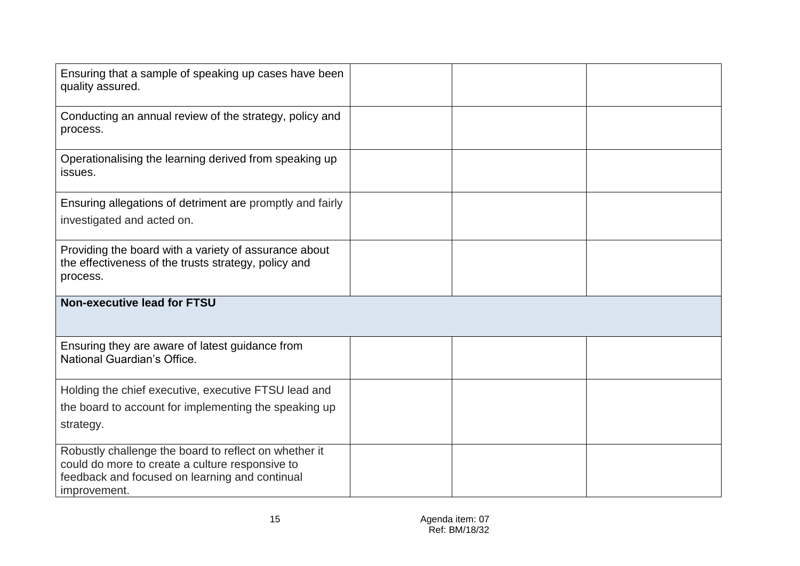| Ensuring that a sample of speaking up cases have been<br>quality assured.                                                                                                  |  |  |
|----------------------------------------------------------------------------------------------------------------------------------------------------------------------------|--|--|
| Conducting an annual review of the strategy, policy and<br>process.                                                                                                        |  |  |
| Operationalising the learning derived from speaking up<br>issues.                                                                                                          |  |  |
| Ensuring allegations of detriment are promptly and fairly<br>investigated and acted on.                                                                                    |  |  |
| Providing the board with a variety of assurance about<br>the effectiveness of the trusts strategy, policy and<br>process.                                                  |  |  |
| <b>Non-executive lead for FTSU</b>                                                                                                                                         |  |  |
| Ensuring they are aware of latest guidance from<br>National Guardian's Office.                                                                                             |  |  |
| Holding the chief executive, executive FTSU lead and<br>the board to account for implementing the speaking up<br>strategy.                                                 |  |  |
| Robustly challenge the board to reflect on whether it<br>could do more to create a culture responsive to<br>feedback and focused on learning and continual<br>improvement. |  |  |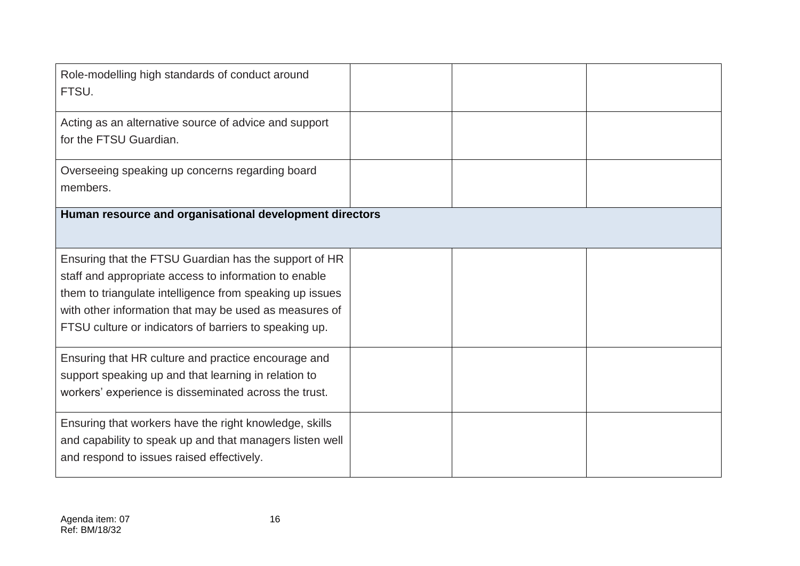| Role-modelling high standards of conduct around<br>FTSU.                                                                                                                                                                                                                                       |  |  |
|------------------------------------------------------------------------------------------------------------------------------------------------------------------------------------------------------------------------------------------------------------------------------------------------|--|--|
| Acting as an alternative source of advice and support<br>for the FTSU Guardian.                                                                                                                                                                                                                |  |  |
| Overseeing speaking up concerns regarding board<br>members.                                                                                                                                                                                                                                    |  |  |
| Human resource and organisational development directors                                                                                                                                                                                                                                        |  |  |
| Ensuring that the FTSU Guardian has the support of HR<br>staff and appropriate access to information to enable<br>them to triangulate intelligence from speaking up issues<br>with other information that may be used as measures of<br>FTSU culture or indicators of barriers to speaking up. |  |  |
| Ensuring that HR culture and practice encourage and<br>support speaking up and that learning in relation to<br>workers' experience is disseminated across the trust.                                                                                                                           |  |  |
| Ensuring that workers have the right knowledge, skills<br>and capability to speak up and that managers listen well<br>and respond to issues raised effectively.                                                                                                                                |  |  |